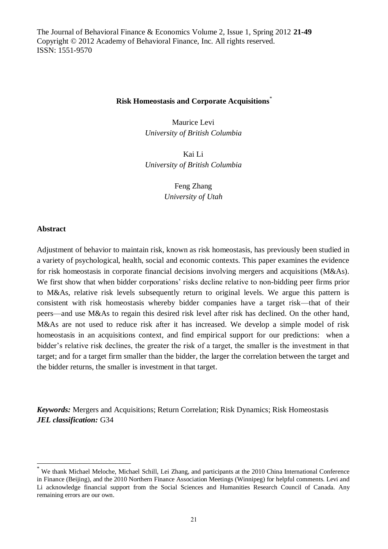The Journal of Behavioral Finance & Economics Volume 2, Issue 1, Spring 2012 **21-49**  Copyright © 2012 Academy of Behavioral Finance, Inc. All rights reserved. ISSN: 1551-9570

### **Risk Homeostasis and Corporate Acquisitions**\*

Maurice Levi *University of British Columbia* 

Kai Li *University of British Columbia* 

> Feng Zhang *University of Utah*

### **Abstract**

 $\overline{a}$ 

Adjustment of behavior to maintain risk, known as risk homeostasis, has previously been studied in a variety of psychological, health, social and economic contexts. This paper examines the evidence for risk homeostasis in corporate financial decisions involving mergers and acquisitions (M&As). We first show that when bidder corporations' risks decline relative to non-bidding peer firms prior to M&As, relative risk levels subsequently return to original levels. We argue this pattern is consistent with risk homeostasis whereby bidder companies have a target risk—that of their peers—and use M&As to regain this desired risk level after risk has declined. On the other hand, M&As are not used to reduce risk after it has increased. We develop a simple model of risk homeostasis in an acquisitions context, and find empirical support for our predictions: when a bidder's relative risk declines, the greater the risk of a target, the smaller is the investment in that target; and for a target firm smaller than the bidder, the larger the correlation between the target and the bidder returns, the smaller is investment in that target.

*Keywords:* Mergers and Acquisitions; Return Correlation; Risk Dynamics; Risk Homeostasis *JEL classification:* G34

<sup>\*</sup> We thank Michael Meloche, Michael Schill, Lei Zhang, and participants at the 2010 China International Conference in Finance (Beijing), and the 2010 Northern Finance Association Meetings (Winnipeg) for helpful comments. Levi and Li acknowledge financial support from the Social Sciences and Humanities Research Council of Canada. Any remaining errors are our own.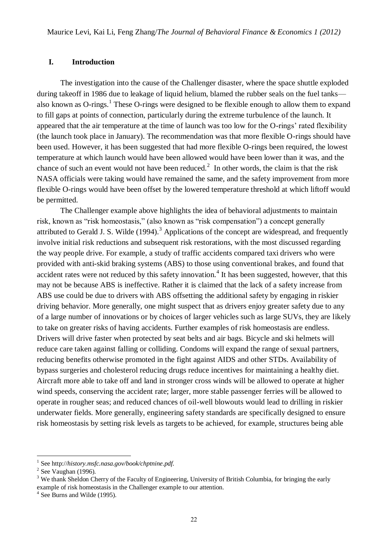### **I. Introduction**

The investigation into the cause of the Challenger disaster, where the space shuttle exploded during takeoff in 1986 due to leakage of liquid helium, blamed the rubber seals on the fuel tanks also known as O-rings.<sup>1</sup> These O-rings were designed to be flexible enough to allow them to expand to fill gaps at points of connection, particularly during the extreme turbulence of the launch. It appeared that the air temperature at the time of launch was too low for the O-rings' rated flexibility (the launch took place in January). The recommendation was that more flexible O-rings should have been used. However, it has been suggested that had more flexible O-rings been required, the lowest temperature at which launch would have been allowed would have been lower than it was, and the chance of such an event would not have been reduced.<sup>2</sup> In other words, the claim is that the risk NASA officials were taking would have remained the same, and the safety improvement from more flexible O-rings would have been offset by the lowered temperature threshold at which liftoff would be permitted.

The Challenger example above highlights the idea of behavioral adjustments to maintain risk, known as "risk homeostasis," (also known as "risk compensation") a concept generally attributed to Gerald J. S. Wilde  $(1994)$ .<sup>3</sup> Applications of the concept are widespread, and frequently involve initial risk reductions and subsequent risk restorations, with the most discussed regarding the way people drive. For example, a study of traffic accidents compared taxi drivers who were provided with anti-skid braking systems (ABS) to those using conventional brakes, and found that accident rates were not reduced by this safety innovation.<sup>4</sup> It has been suggested, however, that this may not be because ABS is ineffective. Rather it is claimed that the lack of a safety increase from ABS use could be due to drivers with ABS offsetting the additional safety by engaging in riskier driving behavior. More generally, one might suspect that as drivers enjoy greater safety due to any of a large number of innovations or by choices of larger vehicles such as large SUVs, they are likely to take on greater risks of having accidents. Further examples of risk homeostasis are endless. Drivers will drive faster when protected by seat belts and air bags. Bicycle and ski helmets will reduce care taken against falling or colliding. Condoms will expand the range of sexual partners, reducing benefits otherwise promoted in the fight against AIDS and other STDs. Availability of bypass surgeries and cholesterol reducing drugs reduce incentives for maintaining a healthy diet. Aircraft more able to take off and land in stronger cross winds will be allowed to operate at higher wind speeds, conserving the accident rate; larger, more stable passenger ferries will be allowed to operate in rougher seas; and reduced chances of oil-well blowouts would lead to drilling in riskier underwater fields. More generally, engineering safety standards are specifically designed to ensure risk homeostasis by setting risk levels as targets to be achieved, for example, structures being able

1

<sup>1</sup> See http://*history.msfc.nasa.gov/book/chptnine.pdf.*

 $2$  See Vaughan (1996).

<sup>&</sup>lt;sup>3</sup> We thank Sheldon Cherry of the Faculty of Engineering, University of British Columbia, for bringing the early example of risk homeostasis in the Challenger example to our attention.

<sup>&</sup>lt;sup>4</sup> See Burns and Wilde (1995).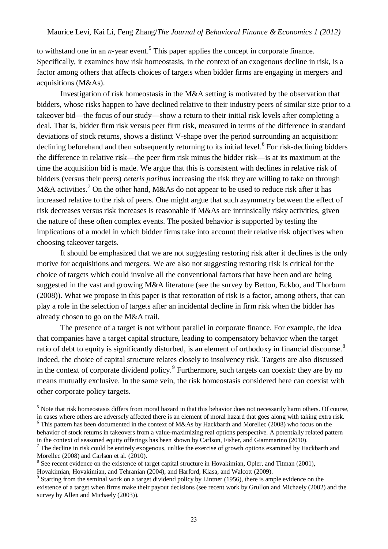to withstand one in an  $n$ -year event.<sup>5</sup> This paper applies the concept in corporate finance. Specifically, it examines how risk homeostasis, in the context of an exogenous decline in risk, is a factor among others that affects choices of targets when bidder firms are engaging in mergers and acquisitions (M&As).

Investigation of risk homeostasis in the M&A setting is motivated by the observation that bidders, whose risks happen to have declined relative to their industry peers of similar size prior to a takeover bid—the focus of our study—show a return to their initial risk levels after completing a deal. That is, bidder firm risk versus peer firm risk, measured in terms of the difference in standard deviations of stock returns, shows a distinct V-shape over the period surrounding an acquisition: declining beforehand and then subsequently returning to its initial level.<sup>6</sup> For risk-declining bidders the difference in relative risk—the peer firm risk minus the bidder risk—is at its maximum at the time the acquisition bid is made. We argue that this is consistent with declines in relative risk of bidders (versus their peers) *ceteris paribus* increasing the risk they are willing to take on through M&A activities.<sup>7</sup> On the other hand, M&As do not appear to be used to reduce risk after it has increased relative to the risk of peers. One might argue that such asymmetry between the effect of risk decreases versus risk increases is reasonable if M&As are intrinsically risky activities, given the nature of these often complex events. The posited behavior is supported by testing the implications of a model in which bidder firms take into account their relative risk objectives when choosing takeover targets.

It should be emphasized that we are not suggesting restoring risk after it declines is the only motive for acquisitions and mergers. We are also not suggesting restoring risk is critical for the choice of targets which could involve all the conventional factors that have been and are being suggested in the vast and growing M&A literature (see the survey by Betton, Eckbo, and Thorburn (2008)). What we propose in this paper is that restoration of risk is a factor, among others, that can play a role in the selection of targets after an incidental decline in firm risk when the bidder has already chosen to go on the M&A trail.

The presence of a target is not without parallel in corporate finance. For example, the idea that companies have a target capital structure, leading to compensatory behavior when the target ratio of debt to equity is significantly disturbed, is an element of orthodoxy in financial discourse.<sup>8</sup> Indeed, the choice of capital structure relates closely to insolvency risk. Targets are also discussed in the context of corporate dividend policy.<sup>9</sup> Furthermore, such targets can coexist: they are by no means mutually exclusive. In the same vein, the risk homeostasis considered here can coexist with other corporate policy targets.

1

<sup>&</sup>lt;sup>5</sup> Note that risk homeostasis differs from moral hazard in that this behavior does not necessarily harm others. Of course, in cases where others are adversely affected there is an element of moral hazard that goes along with taking extra risk. <sup>6</sup> This pattern has been documented in the context of M&As by Hackbarth and Morellec (2008) who focus on the

behavior of stock returns in takeovers from a value-maximizing real options perspective. A potentially related pattern in the context of seasoned equity offerings has been shown by Carlson, Fisher, and Giammarino (2010).

 $<sup>7</sup>$  The decline in risk could be entirely exogenous, unlike the exercise of growth options examined by Hackbarth and</sup> Morellec (2008) and Carlson et al. (2010).

<sup>&</sup>lt;sup>8</sup> See recent evidence on the existence of target capital structure in Hovakimian, Opler, and Titman (2001), Hovakimian, Hovakimian, and Tehranian (2004), and Harford, Klasa, and Walcott (2009).

<sup>&</sup>lt;sup>9</sup> Starting from the seminal work on a target dividend policy by Lintner (1956), there is ample evidence on the existence of a target when firms make their payout decisions (see recent work by Grullon and Michaely (2002) and the survey by Allen and Michaely (2003)).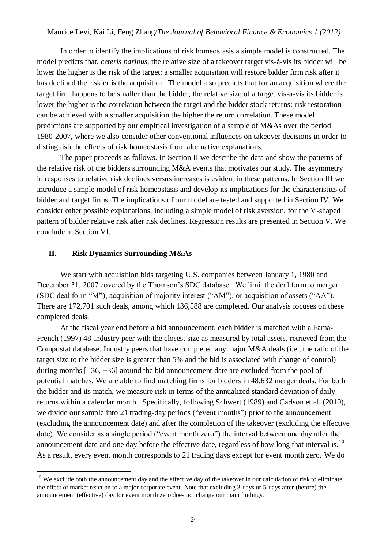In order to identify the implications of risk homeostasis a simple model is constructed. The model predicts that, *ceteris paribus*, the relative size of a takeover target vis-à-vis its bidder will be lower the higher is the risk of the target: a smaller acquisition will restore bidder firm risk after it has declined the riskier is the acquisition. The model also predicts that for an acquisition where the target firm happens to be smaller than the bidder, the relative size of a target vis-à-vis its bidder is lower the higher is the correlation between the target and the bidder stock returns: risk restoration can be achieved with a smaller acquisition the higher the return correlation. These model predictions are supported by our empirical investigation of a sample of M&As over the period 1980-2007, where we also consider other conventional influences on takeover decisions in order to distinguish the effects of risk homeostasis from alternative explanations.

The paper proceeds as follows. In Section II we describe the data and show the patterns of the relative risk of the bidders surrounding M&A events that motivates our study. The asymmetry in responses to relative risk declines versus increases is evident in these patterns. In Section III we introduce a simple model of risk homeostasis and develop its implications for the characteristics of bidder and target firms. The implications of our model are tested and supported in Section IV. We consider other possible explanations, including a simple model of risk aversion, for the V-shaped pattern of bidder relative risk after risk declines. Regression results are presented in Section V. We conclude in Section VI.

### **II. Risk Dynamics Surrounding M&As**

1

We start with acquisition bids targeting U.S. companies between January 1, 1980 and December 31, 2007 covered by the Thomson's SDC database. We limit the deal form to merger (SDC deal form "M"), acquisition of majority interest ("AM"), or acquisition of assets ("AA"). There are 172,701 such deals, among which 136,588 are completed. Our analysis focuses on these completed deals.

At the fiscal year end before a bid announcement, each bidder is matched with a Fama-French (1997) 48-industry peer with the closest size as measured by total assets, retrieved from the Compustat database. Industry peers that have completed any major M&A deals (i.e., the ratio of the target size to the bidder size is greater than 5% and the bid is associated with change of control) during months  $[-36, +36]$  around the bid announcement date are excluded from the pool of potential matches. We are able to find matching firms for bidders in 48,632 merger deals. For both the bidder and its match, we measure risk in terms of the annualized standard deviation of daily returns within a calendar month. Specifically, following Schwert (1989) and Carlson et al. (2010), we divide our sample into 21 trading-day periods ("event months") prior to the announcement (excluding the announcement date) and after the completion of the takeover (excluding the effective date). We consider as a single period ("event month zero") the interval between one day after the announcement date and one day before the effective date, regardless of how long that interval is.<sup>10</sup> As a result, every event month corresponds to 21 trading days except for event month zero. We do

 $10$  We exclude both the announcement day and the effective day of the takeover in our calculation of risk to eliminate the effect of market reaction to a major corporate event. Note that excluding 3-days or 5-days after (before) the announcement (effective) day for event month zero does not change our main findings.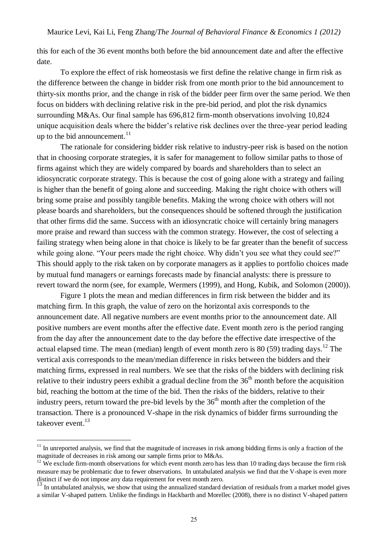this for each of the 36 event months both before the bid announcement date and after the effective date.

To explore the effect of risk homeostasis we first define the relative change in firm risk as the difference between the change in bidder risk from one month prior to the bid announcement to thirty-six months prior, and the change in risk of the bidder peer firm over the same period. We then focus on bidders with declining relative risk in the pre-bid period, and plot the risk dynamics surrounding M&As. Our final sample has 696,812 firm-month observations involving 10,824 unique acquisition deals where the bidder's relative risk declines over the three-year period leading up to the bid announcement. $11$ 

The rationale for considering bidder risk relative to industry-peer risk is based on the notion that in choosing corporate strategies, it is safer for management to follow similar paths to those of firms against which they are widely compared by boards and shareholders than to select an idiosyncratic corporate strategy. This is because the cost of going alone with a strategy and failing is higher than the benefit of going alone and succeeding. Making the right choice with others will bring some praise and possibly tangible benefits. Making the wrong choice with others will not please boards and shareholders, but the consequences should be softened through the justification that other firms did the same. Success with an idiosyncratic choice will certainly bring managers more praise and reward than success with the common strategy. However, the cost of selecting a failing strategy when being alone in that choice is likely to be far greater than the benefit of success while going alone. "Your peers made the right choice. Why didn't you see what they could see?" This should apply to the risk taken on by corporate managers as it applies to portfolio choices made by mutual fund managers or earnings forecasts made by financial analysts: there is pressure to revert toward the norm (see, for example, Wermers (1999), and Hong, Kubik, and Solomon (2000)).

Figure 1 plots the mean and median differences in firm risk between the bidder and its matching firm. In this graph, the value of zero on the horizontal axis corresponds to the announcement date. All negative numbers are event months prior to the announcement date. All positive numbers are event months after the effective date. Event month zero is the period ranging from the day after the announcement date to the day before the effective date irrespective of the actual elapsed time. The mean (median) length of event month zero is 80 (59) trading days.<sup>12</sup> The vertical axis corresponds to the mean/median difference in risks between the bidders and their matching firms, expressed in real numbers. We see that the risks of the bidders with declining risk relative to their industry peers exhibit a gradual decline from the  $36<sup>th</sup>$  month before the acquisition bid, reaching the bottom at the time of the bid. Then the risks of the bidders, relative to their industry peers, return toward the pre-bid levels by the  $36<sup>th</sup>$  month after the completion of the transaction. There is a pronounced V-shape in the risk dynamics of bidder firms surrounding the takeover event.<sup>13</sup>

1

 $11$  In unreported analysis, we find that the magnitude of increases in risk among bidding firms is only a fraction of the magnitude of decreases in risk among our sample firms prior to M&As.

 $12$  We exclude firm-month observations for which event month zero has less than 10 trading days because the firm risk measure may be problematic due to fewer observations. In untabulated analysis we find that the V-shape is even more distinct if we do not impose any data requirement for event month zero.

 $13$  In untabulated analysis, we show that using the annualized standard deviation of residuals from a market model gives a similar V-shaped pattern. Unlike the findings in Hackbarth and Morellec (2008), there is no distinct V-shaped pattern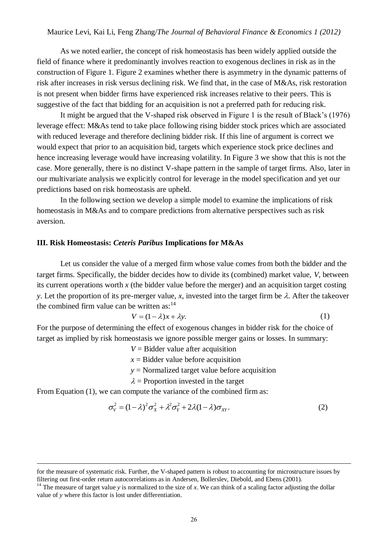As we noted earlier, the concept of risk homeostasis has been widely applied outside the field of finance where it predominantly involves reaction to exogenous declines in risk as in the construction of Figure 1. Figure 2 examines whether there is asymmetry in the dynamic patterns of risk after increases in risk versus declining risk. We find that, in the case of M&As, risk restoration is not present when bidder firms have experienced risk increases relative to their peers. This is suggestive of the fact that bidding for an acquisition is not a preferred path for reducing risk.

It might be argued that the V-shaped risk observed in Figure 1 is the result of Black's (1976) leverage effect: M&As tend to take place following rising bidder stock prices which are associated with reduced leverage and therefore declining bidder risk. If this line of argument is correct we would expect that prior to an acquisition bid, targets which experience stock price declines and hence increasing leverage would have increasing volatility. In Figure 3 we show that this is not the case. More generally, there is no distinct V-shape pattern in the sample of target firms. Also, later in our multivariate analysis we explicitly control for leverage in the model specification and yet our predictions based on risk homeostasis are upheld.

In the following section we develop a simple model to examine the implications of risk homeostasis in M&As and to compare predictions from alternative perspectives such as risk aversion.

#### **III. Risk Homeostasis:** *Ceteris Paribus* **Implications for M&As**

Let us consider the value of a merged firm whose value comes from both the bidder and the target firms. Specifically, the bidder decides how to divide its (combined) market value, *V*, between its current operations worth *x* (the bidder value before the merger) and an acquisition target costing *y*. Let the proportion of its pre-merger value, *x*, invested into the target firm be  $\lambda$ . After the takeover the combined firm value can be written as: $14$ 

$$
V = (1 - \lambda)x + \lambda y.
$$
 (1)

For the purpose of determining the effect of exogenous changes in bidder risk for the choice of target as implied by risk homeostasis we ignore possible merger gains or losses. In summary:

 $V =$  Bidder value after acquisition

 $x =$  Bidder value before acquisition

*y* = Normalized target value before acquisition

 $\lambda$  = Proportion invested in the target

From Equation (1), we can compute the variance of the combined firm as:

1

$$
\sigma_V^2 = (1 - \lambda)^2 \sigma_X^2 + \lambda^2 \sigma_Y^2 + 2\lambda (1 - \lambda) \sigma_{XY}.
$$
 (2)

for the measure of systematic risk. Further, the V-shaped pattern is robust to accounting for microstructure issues by filtering out first-order return autocorrelations as in Andersen, Bollerslev, Diebold, and Ebens (2001).

<sup>&</sup>lt;sup>14</sup> The measure of target value  $y$  is normalized to the size of  $x$ . We can think of a scaling factor adjusting the dollar value of *y* where this factor is lost under differentiation.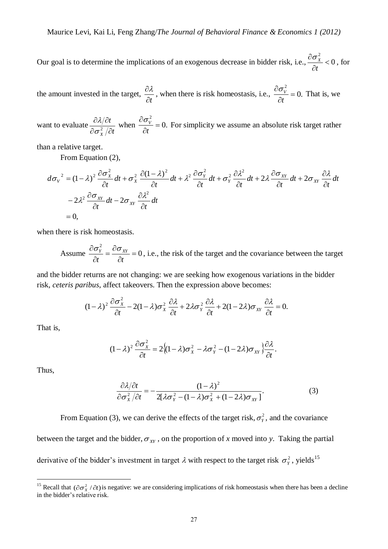Our goal is to determine the implications of an exogenous decrease in bidder risk, i.e.,  $\frac{160 \times x}{2}$  < 0 2  $\lt$  $\widehat{o}$  $\widehat{o}$ *t*  $\frac{\sigma_x}{\sigma}$  < 0, for

the amount invested in the target,  $\partial t$  $\frac{\partial \lambda}{\partial \phi}$ , when there is risk homeostasis, i.e.,  $\frac{\partial \sigma_v^2}{\partial \phi} = 0$ . 2  $=$  $\hat{c}$  $\hat{o}$ *t*  $\frac{\sigma_{V}}{2}$  = 0. That is, we

want to evaluate *t t*  $\partial \sigma^2_{\scriptscriptstyle{X}}/\partial$  $\partial \lambda/\partial$  $\sigma^2$  $\frac{\lambda}{\partial t}$  when  $\frac{\partial \sigma_v^2}{\partial t} = 0$ . 2  $=$  $\partial$  $\partial$ *t*  $\frac{\sigma_{\bar{v}}}{\sigma_{\bar{v}}}$  = 0. For simplicity we assume an absolute risk target rather

than a relative target.

From Equation (2),

$$
d\sigma_v^2 = (1 - \lambda)^2 \frac{\partial \sigma_x^2}{\partial t} dt + \sigma_x^2 \frac{\partial (1 - \lambda)^2}{\partial t} dt + \lambda^2 \frac{\partial \sigma_y^2}{\partial t} dt + \sigma_y^2 \frac{\partial \lambda^2}{\partial t} dt + 2\lambda \frac{\partial \sigma_{XY}}{\partial t} dt + 2\sigma_{XY} \frac{\partial \lambda}{\partial t} dt
$$
  

$$
-2\lambda^2 \frac{\partial \sigma_{XY}}{\partial t} dt - 2\sigma_{XY} \frac{\partial \lambda^2}{\partial t} dt
$$
  
= 0,

when there is risk homeostasis.

Assume  $\frac{O_1}{2} = \frac{O_2}{2} = 0$ 2  $=$  $\partial$  $=\frac{\partial}{\partial x}$  $\partial$  $\partial$ *t t*  $\frac{\sigma_y}{\sigma_x} = \frac{\sigma \sigma_{xy}}{\sigma_x} = 0$ , i.e., the risk of the target and the covariance between the target

and the bidder returns are not changing: we are seeking how exogenous variations in the bidder risk, *ceteris paribus*, affect takeovers. Then the expression above becomes:

$$
(1-\lambda)^2 \frac{\partial \sigma_X^2}{\partial t} - 2(1-\lambda)\sigma_X^2 \frac{\partial \lambda}{\partial t} + 2\lambda \sigma_Y^2 \frac{\partial \lambda}{\partial t} + 2(1-2\lambda)\sigma_{XY} \frac{\partial \lambda}{\partial t} = 0.
$$

That is,

$$
(1-\lambda)^2 \frac{\partial \sigma_X^2}{\partial t} = 2\big\{(1-\lambda)\sigma_X^2 - \lambda \sigma_Y^2 - (1-2\lambda)\sigma_{XY}\big\}\frac{\partial \lambda}{\partial t}.
$$

Thus,

1

$$
\frac{\partial \lambda/\partial t}{\partial \sigma_x^2/\partial t} = -\frac{(1-\lambda)^2}{2[\lambda \sigma_y^2 - (1-\lambda)\sigma_x^2 + (1-2\lambda)\sigma_{XY}]}.
$$
\n(3)

From Equation (3), we can derive the effects of the target risk,  $\sigma_{y}^{2}$ , and the covariance

between the target and the bidder,  $\sigma_{XY}$ , on the proportion of *x* moved into *y*. Taking the partial

derivative of the bidder's investment in target  $\lambda$  with respect to the target risk  $\sigma_Y^2$ , yields<sup>15</sup>

<sup>&</sup>lt;sup>15</sup> Recall that  $(\partial \sigma_x^2 / \partial t)$  is negative: we are considering implications of risk homeostasis when there has been a decline in the bidder's relative risk.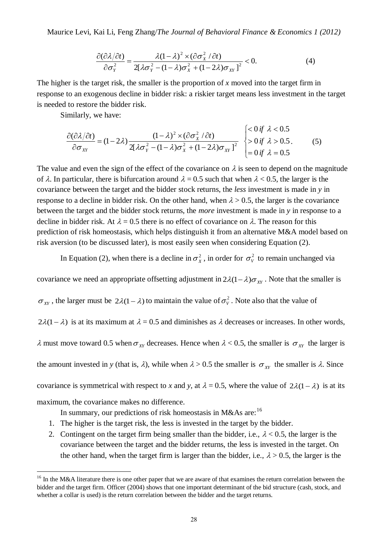Maurice Levi, Kai Li, Feng Zhang/*The Journal of Behavioral Finance & Economics 1 (2012)*

$$
\frac{\partial(\partial \lambda/\partial t)}{\partial \sigma_Y^2} = \frac{\lambda (1-\lambda)^2 \times (\partial \sigma_X^2/\partial t)}{2[\lambda \sigma_Y^2 - (1-\lambda)\sigma_X^2 + (1-2\lambda)\sigma_{XY}]^2} < 0.
$$
\n(4)

The higher is the target risk, the smaller is the proportion of  $x$  moved into the target firm in response to an exogenous decline in bidder risk: a riskier target means less investment in the target is needed to restore the bidder risk.

Similarly, we have:

$$
\frac{\partial(\partial \lambda/\partial t)}{\partial \sigma_{XY}} = (1 - 2\lambda) \frac{(1 - \lambda)^2 \times (\partial \sigma_X^2 / \partial t)}{2[\lambda \sigma_Y^2 - (1 - \lambda)\sigma_X^2 + (1 - 2\lambda)\sigma_{XY}]^2} \begin{cases} < 0 \text{ if } \lambda < 0.5\\ > 0 \text{ if } \lambda > 0.5\\ = 0 \text{ if } \lambda = 0.5 \end{cases}
$$
(5)

The value and even the sign of the effect of the covariance on  $\lambda$  is seen to depend on the magnitude of  $\lambda$ . In particular, there is bifurcation around  $\lambda = 0.5$  such that when  $\lambda < 0.5$ , the larger is the covariance between the target and the bidder stock returns, the *less* investment is made in *y* in response to a decline in bidder risk. On the other hand, when  $\lambda > 0.5$ , the larger is the covariance between the target and the bidder stock returns, the *more* investment is made in *y* in response to a decline in bidder risk. At  $\lambda = 0.5$  there is no effect of covariance on  $\lambda$ . The reason for this prediction of risk homeostasis, which helps distinguish it from an alternative M&A model based on risk aversion (to be discussed later), is most easily seen when considering Equation (2).

In Equation (2), when there is a decline in  $\sigma_x^2$ , in order for  $\sigma_y^2$  to remain unchanged via

covariance we need an appropriate offsetting adjustment in  $2\lambda(1-\lambda)\sigma_{XY}$ . Note that the smaller is

 $\sigma_{XY}$ , the larger must be  $2\lambda(1-\lambda)$  to maintain the value of  $\sigma_V^2$ . Note also that the value of

 $2\lambda(1-\lambda)$  is at its maximum at  $\lambda = 0.5$  and diminishes as  $\lambda$  decreases or increases. In other words,

 $\lambda$  must move toward 0.5 when  $\sigma_{XY}$  decreases. Hence when  $\lambda < 0.5$ , the smaller is  $\sigma_{XY}$  the larger is

the amount invested in *y* (that is,  $\lambda$ ), while when  $\lambda > 0.5$  the smaller is  $\sigma_{XY}$  the smaller is  $\lambda$ . Since

covariance is symmetrical with respect to *x* and *y*, at  $\lambda = 0.5$ , where the value of  $2\lambda(1 - \lambda)$  is at its

maximum, the covariance makes no difference.

1

In summary, our predictions of risk homeostasis in M&As are:<sup>16</sup>

- 1. The higher is the target risk, the less is invested in the target by the bidder.
- 2. Contingent on the target firm being smaller than the bidder, i.e.,  $\lambda < 0.5$ , the larger is the covariance between the target and the bidder returns, the less is invested in the target. On the other hand, when the target firm is larger than the bidder, i.e.,  $\lambda > 0.5$ , the larger is the

<sup>&</sup>lt;sup>16</sup> In the M&A literature there is one other paper that we are aware of that examines the return correlation between the bidder and the target firm. Officer (2004) shows that one important determinant of the bid structure (cash, stock, and whether a collar is used) is the return correlation between the bidder and the target returns.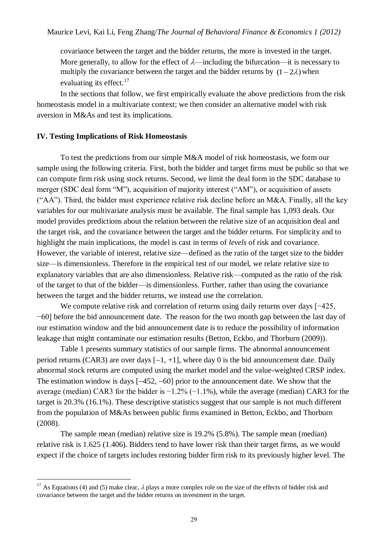covariance between the target and the bidder returns, the more is invested in the target. More generally, to allow for the effect of  $\lambda$ —including the bifurcation—it is necessary to multiply the covariance between the target and the bidder returns by  $(1 - 2\lambda)$  when evaluating its effect. $17$ 

In the sections that follow, we first empirically evaluate the above predictions from the risk homeostasis model in a multivariate context; we then consider an alternative model with risk aversion in M&As and test its implications.

### **IV. Testing Implications of Risk Homeostasis**

1

To test the predictions from our simple M&A model of risk homeostasis, we form our sample using the following criteria. First, both the bidder and target firms must be public so that we can compute firm risk using stock returns. Second, we limit the deal form in the SDC database to merger (SDC deal form "M"), acquisition of majority interest ("AM"), or acquisition of assets ("AA"). Third, the bidder must experience relative risk decline before an M&A. Finally, all the key variables for our multivariate analysis must be available. The final sample has 1,093 deals. Our model provides predictions about the relation between the relative size of an acquisition deal and the target risk, and the covariance between the target and the bidder returns. For simplicity and to highlight the main implications, the model is cast in terms of *levels* of risk and covariance. However, the variable of interest, relative size—defined as the ratio of the target size to the bidder size—is dimensionless. Therefore in the empirical test of our model, we relate relative size to explanatory variables that are also dimensionless. Relative risk—computed as the ratio of the risk of the target to that of the bidder—is dimensionless. Further, rather than using the covariance between the target and the bidder returns, we instead use the correlation.

We compute relative risk and correlation of returns using daily returns over days [−425, −60] before the bid announcement date. The reason for the two month gap between the last day of our estimation window and the bid announcement date is to reduce the possibility of information leakage that might contaminate our estimation results (Betton, Eckbo, and Thorburn (2009)).

Table 1 presents summary statistics of our sample firms. The abnormal announcement period returns (CAR3) are over days  $[-1, +1]$ , where day 0 is the bid announcement date. Daily abnormal stock returns are computed using the market model and the value-weighted CRSP index. The estimation window is days  $[-452, -60]$  prior to the announcement date. We show that the average (median) CAR3 for the bidder is −1.2% (−1.1%), while the average (median) CAR3 for the target is 20.3% (16.1%). These descriptive statistics suggest that our sample is not much different from the population of M&As between public firms examined in Betton, Eckbo, and Thorburn (2008).

The sample mean (median) relative size is 19.2% (5.8%). The sample mean (median) relative risk is 1.625 (1.406). Bidders tend to have lower risk than their target firms, as we would expect if the choice of targets includes restoring bidder firm risk to its previously higher level. The

<sup>&</sup>lt;sup>17</sup> As Equations (4) and (5) make clear,  $\lambda$  plays a more complex role on the size of the effects of bidder risk and covariance between the target and the bidder returns on investment in the target.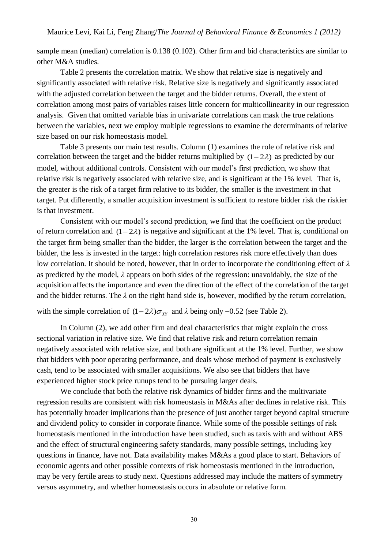sample mean (median) correlation is 0.138 (0.102). Other firm and bid characteristics are similar to other M&A studies.

Table 2 presents the correlation matrix. We show that relative size is negatively and significantly associated with relative risk. Relative size is negatively and significantly associated with the adjusted correlation between the target and the bidder returns. Overall, the extent of correlation among most pairs of variables raises little concern for multicollinearity in our regression analysis. Given that omitted variable bias in univariate correlations can mask the true relations between the variables, next we employ multiple regressions to examine the determinants of relative size based on our risk homeostasis model.

Table 3 presents our main test results. Column (1) examines the role of relative risk and correlation between the target and the bidder returns multiplied by  $(1-2\lambda)$  as predicted by our model, without additional controls. Consistent with our model's first prediction, we show that relative risk is negatively associated with relative size, and is significant at the 1% level. That is, the greater is the risk of a target firm relative to its bidder, the smaller is the investment in that target. Put differently, a smaller acquisition investment is sufficient to restore bidder risk the riskier is that investment.

Consistent with our model's second prediction, we find that the coefficient on the product of return correlation and  $(1-2\lambda)$  is negative and significant at the 1% level. That is, conditional on the target firm being smaller than the bidder, the larger is the correlation between the target and the bidder, the less is invested in the target: high correlation restores risk more effectively than does low correlation. It should be noted, however, that in order to incorporate the conditioning effect of *λ*  as predicted by the model, *λ* appears on both sides of the regression: unavoidably, the size of the acquisition affects the importance and even the direction of the effect of the correlation of the target and the bidder returns. The  $\lambda$  on the right hand side is, however, modified by the return correlation,

with the simple correlation of  $(1 - 2\lambda)\sigma_{XY}$  and  $\lambda$  being only -0.52 (see Table 2).

In Column (2), we add other firm and deal characteristics that might explain the cross sectional variation in relative size. We find that relative risk and return correlation remain negatively associated with relative size, and both are significant at the 1% level. Further, we show that bidders with poor operating performance, and deals whose method of payment is exclusively cash, tend to be associated with smaller acquisitions. We also see that bidders that have experienced higher stock price runups tend to be pursuing larger deals.

We conclude that both the relative risk dynamics of bidder firms and the multivariate regression results are consistent with risk homeostasis in M&As after declines in relative risk. This has potentially broader implications than the presence of just another target beyond capital structure and dividend policy to consider in corporate finance. While some of the possible settings of risk homeostasis mentioned in the introduction have been studied, such as taxis with and without ABS and the effect of structural engineering safety standards, many possible settings, including key questions in finance, have not. Data availability makes M&As a good place to start. Behaviors of economic agents and other possible contexts of risk homeostasis mentioned in the introduction, may be very fertile areas to study next. Questions addressed may include the matters of symmetry versus asymmetry, and whether homeostasis occurs in absolute or relative form.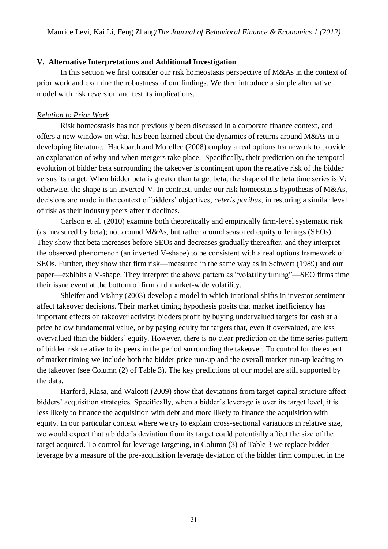### **V. Alternative Interpretations and Additional Investigation**

In this section we first consider our risk homeostasis perspective of M&As in the context of prior work and examine the robustness of our findings. We then introduce a simple alternative model with risk reversion and test its implications.

### *Relation to Prior Work*

Risk homeostasis has not previously been discussed in a corporate finance context, and offers a new window on what has been learned about the dynamics of returns around M&As in a developing literature. Hackbarth and Morellec (2008) employ a real options framework to provide an explanation of why and when mergers take place. Specifically, their prediction on the temporal evolution of bidder beta surrounding the takeover is contingent upon the relative risk of the bidder versus its target. When bidder beta is greater than target beta, the shape of the beta time series is V; otherwise, the shape is an inverted-V. In contrast, under our risk homeostasis hypothesis of M&As, decisions are made in the context of bidders' objectives, *ceteris paribus*, in restoring a similar level of risk as their industry peers after it declines.

Carlson et al. (2010) examine both theoretically and empirically firm-level systematic risk (as measured by beta); not around M&As, but rather around seasoned equity offerings (SEOs). They show that beta increases before SEOs and decreases gradually thereafter, and they interpret the observed phenomenon (an inverted V-shape) to be consistent with a real options framework of SEOs. Further, they show that firm risk—measured in the same way as in Schwert (1989) and our paper—exhibits a V-shape. They interpret the above pattern as "volatility timing"—SEO firms time their issue event at the bottom of firm and market-wide volatility.

Shleifer and Vishny (2003) develop a model in which irrational shifts in investor sentiment affect takeover decisions. Their market timing hypothesis posits that market inefficiency has important effects on takeover activity: bidders profit by buying undervalued targets for cash at a price below fundamental value, or by paying equity for targets that, even if overvalued, are less overvalued than the bidders' equity. However, there is no clear prediction on the time series pattern of bidder risk relative to its peers in the period surrounding the takeover. To control for the extent of market timing we include both the bidder price run-up and the overall market run-up leading to the takeover (see Column (2) of Table 3). The key predictions of our model are still supported by the data.

Harford, Klasa, and Walcott (2009) show that deviations from target capital structure affect bidders' acquisition strategies. Specifically, when a bidder's leverage is over its target level, it is less likely to finance the acquisition with debt and more likely to finance the acquisition with equity. In our particular context where we try to explain cross-sectional variations in relative size, we would expect that a bidder's deviation from its target could potentially affect the size of the target acquired. To control for leverage targeting, in Column (3) of Table 3 we replace bidder leverage by a measure of the pre-acquisition leverage deviation of the bidder firm computed in the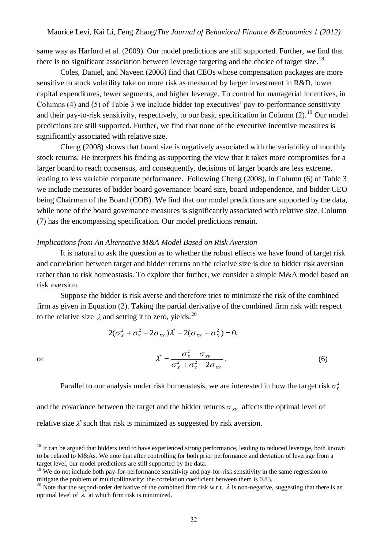same way as Harford et al. (2009). Our model predictions are still supported. Further, we find that there is no significant association between leverage targeting and the choice of target size.<sup>18</sup>

Coles, Daniel, and Naveen (2006) find that CEOs whose compensation packages are more sensitive to stock volatility take on more risk as measured by larger investment in R&D, lower capital expenditures, fewer segments, and higher leverage. To control for managerial incentives, in Columns (4) and (5) of Table 3 we include bidder top executives' pay-to-performance sensitivity and their pay-to-risk sensitivity, respectively, to our basic specification in Column  $(2)$ .<sup>19</sup> Our model predictions are still supported. Further, we find that none of the executive incentive measures is significantly associated with relative size.

Cheng (2008) shows that board size is negatively associated with the variability of monthly stock returns. He interprets his finding as supporting the view that it takes more compromises for a larger board to reach consensus, and consequently, decisions of larger boards are less extreme, leading to less variable corporate performance. Following Cheng (2008), in Column (6) of Table 3 we include measures of bidder board governance: board size, board independence, and bidder CEO being Chairman of the Board (COB). We find that our model predictions are supported by the data, while none of the board governance measures is significantly associated with relative size. Column (7) has the encompassing specification. Our model predictions remain.

### *Implications from An Alternative M&A Model Based on Risk Aversion*

It is natural to ask the question as to whether the robust effects we have found of target risk and correlation between target and bidder returns on the relative size is due to bidder risk aversion rather than to risk homeostasis. To explore that further, we consider a simple M&A model based on risk aversion.

Suppose the bidder is risk averse and therefore tries to minimize the risk of the combined firm as given in Equation (2). Taking the partial derivative of the combined firm risk with respect to the relative size  $\lambda$  and setting it to zero, yields:<sup>20</sup>

$$
2(\sigma_X^2 + \sigma_Y^2 - 2\sigma_{XY})\lambda^* + 2(\sigma_{XY} - \sigma_X^2) = 0,
$$
  

$$
\lambda^* = \frac{\sigma_X^2 - \sigma_{XY}}{\sigma_X^2 + \sigma_Y^2 - 2\sigma_{XY}}.
$$
 (6)

or

1

Parallel to our analysis under risk homeostasis, we are interested in how the target risk  $\sigma_Y^2$ 

and the covariance between the target and the bidder returns  $\sigma_{XY}$  affects the optimal level of relative size  $\lambda^*$  such that risk is minimized as suggested by risk aversion.

<sup>&</sup>lt;sup>18</sup> It can be argued that bidders tend to have experienced strong performance, leading to reduced leverage, both known to be related to M&As. We note that after controlling for both prior performance and deviation of leverage from a target level, our model predictions are still supported by the data.

 $19$  We do not include both pay-for-performance sensitivity and pay-for-risk sensitivity in the same regression to mitigate the problem of multicollinearity: the correlation coefficient between them is 0.83.

<sup>&</sup>lt;sup>20</sup> Note that the second-order derivative of the combined firm risk w.r.t.  $\lambda$  is non-negative, suggesting that there is an optimal level of  $\lambda^*$  at which firm risk is minimized.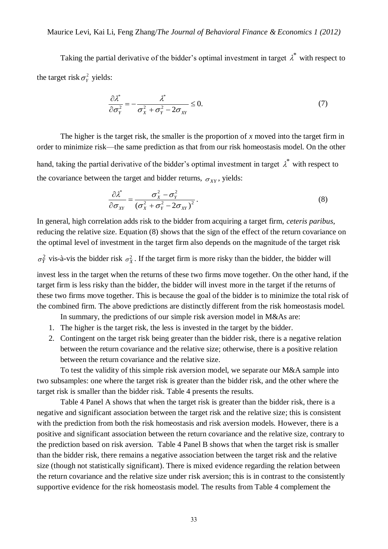### Maurice Levi, Kai Li, Feng Zhang/*The Journal of Behavioral Finance & Economics 1 (2012)*

Taking the partial derivative of the bidder's optimal investment in target  $\lambda^*$  with respect to the target risk  $\sigma_Y^2$  yields:

$$
\frac{\partial \lambda^*}{\partial \sigma_Y^2} = -\frac{\lambda^*}{\sigma_X^2 + \sigma_Y^2 - 2\sigma_{XY}} \le 0.
$$
\n(7)

The higher is the target risk, the smaller is the proportion of *x* moved into the target firm in order to minimize risk—the same prediction as that from our risk homeostasis model. On the other hand, taking the partial derivative of the bidder's optimal investment in target  $\lambda^*$  with respect to the covariance between the target and bidder returns,  $\sigma_{XY}$ , yields:

$$
\frac{\partial \lambda^*}{\partial \sigma_{XY}} = \frac{\sigma_X^2 - \sigma_Y^2}{\left(\sigma_X^2 + \sigma_Y^2 - 2\sigma_{XY}\right)^2}.
$$
\n(8)

In general, high correlation adds risk to the bidder from acquiring a target firm, *ceteris paribus*, reducing the relative size. Equation (8) shows that the sign of the effect of the return covariance on the optimal level of investment in the target firm also depends on the magnitude of the target risk

 $\sigma_Y^2$  vis-à-vis the bidder risk  $\sigma_X^2$ . If the target firm is more risky than the bidder, the bidder will

invest less in the target when the returns of these two firms move together. On the other hand, if the target firm is less risky than the bidder, the bidder will invest more in the target if the returns of these two firms move together. This is because the goal of the bidder is to minimize the total risk of the combined firm. The above predictions are distinctly different from the risk homeostasis model.

In summary, the predictions of our simple risk aversion model in M&As are:

- 1. The higher is the target risk, the less is invested in the target by the bidder.
- 2. Contingent on the target risk being greater than the bidder risk, there is a negative relation between the return covariance and the relative size; otherwise, there is a positive relation between the return covariance and the relative size.

To test the validity of this simple risk aversion model, we separate our M&A sample into two subsamples: one where the target risk is greater than the bidder risk, and the other where the target risk is smaller than the bidder risk. Table 4 presents the results.

 Table 4 Panel A shows that when the target risk is greater than the bidder risk, there is a negative and significant association between the target risk and the relative size; this is consistent with the prediction from both the risk homeostasis and risk aversion models. However, there is a positive and significant association between the return covariance and the relative size, contrary to the prediction based on risk aversion. Table 4 Panel B shows that when the target risk is smaller than the bidder risk, there remains a negative association between the target risk and the relative size (though not statistically significant). There is mixed evidence regarding the relation between the return covariance and the relative size under risk aversion; this is in contrast to the consistently supportive evidence for the risk homeostasis model. The results from Table 4 complement the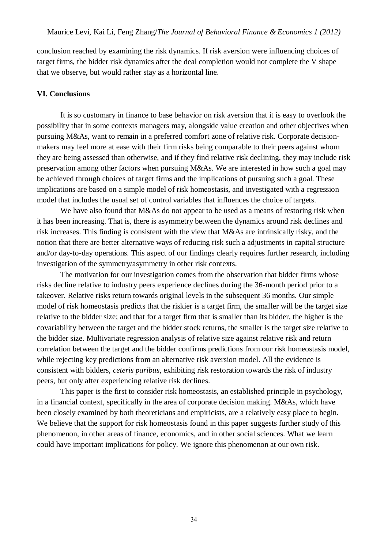conclusion reached by examining the risk dynamics. If risk aversion were influencing choices of target firms, the bidder risk dynamics after the deal completion would not complete the V shape that we observe, but would rather stay as a horizontal line.

### **VI. Conclusions**

 It is so customary in finance to base behavior on risk aversion that it is easy to overlook the possibility that in some contexts managers may, alongside value creation and other objectives when pursuing M&As, want to remain in a preferred comfort zone of relative risk. Corporate decisionmakers may feel more at ease with their firm risks being comparable to their peers against whom they are being assessed than otherwise, and if they find relative risk declining, they may include risk preservation among other factors when pursuing M&As. We are interested in how such a goal may be achieved through choices of target firms and the implications of pursuing such a goal. These implications are based on a simple model of risk homeostasis, and investigated with a regression model that includes the usual set of control variables that influences the choice of targets.

We have also found that M&As do not appear to be used as a means of restoring risk when it has been increasing. That is, there is asymmetry between the dynamics around risk declines and risk increases. This finding is consistent with the view that M&As are intrinsically risky, and the notion that there are better alternative ways of reducing risk such a adjustments in capital structure and/or day-to-day operations. This aspect of our findings clearly requires further research, including investigation of the symmetry/asymmetry in other risk contexts.

The motivation for our investigation comes from the observation that bidder firms whose risks decline relative to industry peers experience declines during the 36-month period prior to a takeover. Relative risks return towards original levels in the subsequent 36 months. Our simple model of risk homeostasis predicts that the riskier is a target firm, the smaller will be the target size relative to the bidder size; and that for a target firm that is smaller than its bidder, the higher is the covariability between the target and the bidder stock returns, the smaller is the target size relative to the bidder size. Multivariate regression analysis of relative size against relative risk and return correlation between the target and the bidder confirms predictions from our risk homeostasis model, while rejecting key predictions from an alternative risk aversion model. All the evidence is consistent with bidders, *ceteris paribus*, exhibiting risk restoration towards the risk of industry peers, but only after experiencing relative risk declines.

This paper is the first to consider risk homeostasis, an established principle in psychology, in a financial context, specifically in the area of corporate decision making. M&As, which have been closely examined by both theoreticians and empiricists, are a relatively easy place to begin. We believe that the support for risk homeostasis found in this paper suggests further study of this phenomenon, in other areas of finance, economics, and in other social sciences. What we learn could have important implications for policy. We ignore this phenomenon at our own risk.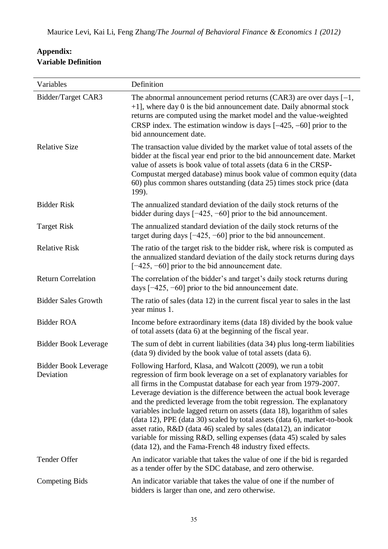# **Appendix: Variable Definition**

| Variables                                | Definition                                                                                                                                                                                                                                                                                                                                                                                                                                                                                                                                                                                                                                                                                                                     |
|------------------------------------------|--------------------------------------------------------------------------------------------------------------------------------------------------------------------------------------------------------------------------------------------------------------------------------------------------------------------------------------------------------------------------------------------------------------------------------------------------------------------------------------------------------------------------------------------------------------------------------------------------------------------------------------------------------------------------------------------------------------------------------|
| Bidder/Target CAR3                       | The abnormal announcement period returns (CAR3) are over days $[-1, 1]$<br>$+1$ ], where day 0 is the bid announcement date. Daily abnormal stock<br>returns are computed using the market model and the value-weighted<br>CRSP index. The estimation window is days $[-425, -60]$ prior to the<br>bid announcement date.                                                                                                                                                                                                                                                                                                                                                                                                      |
| <b>Relative Size</b>                     | The transaction value divided by the market value of total assets of the<br>bidder at the fiscal year end prior to the bid announcement date. Market<br>value of assets is book value of total assets (data 6 in the CRSP-<br>Compustat merged database) minus book value of common equity (data<br>60) plus common shares outstanding (data 25) times stock price (data<br>199).                                                                                                                                                                                                                                                                                                                                              |
| <b>Bidder Risk</b>                       | The annualized standard deviation of the daily stock returns of the<br>bidder during days $[-425, -60]$ prior to the bid announcement.                                                                                                                                                                                                                                                                                                                                                                                                                                                                                                                                                                                         |
| <b>Target Risk</b>                       | The annualized standard deviation of the daily stock returns of the<br>target during days $[-425, -60]$ prior to the bid announcement.                                                                                                                                                                                                                                                                                                                                                                                                                                                                                                                                                                                         |
| <b>Relative Risk</b>                     | The ratio of the target risk to the bidder risk, where risk is computed as<br>the annualized standard deviation of the daily stock returns during days<br>$[-425, -60]$ prior to the bid announcement date.                                                                                                                                                                                                                                                                                                                                                                                                                                                                                                                    |
| <b>Return Correlation</b>                | The correlation of the bidder's and target's daily stock returns during<br>days $[-425, -60]$ prior to the bid announcement date.                                                                                                                                                                                                                                                                                                                                                                                                                                                                                                                                                                                              |
| <b>Bidder Sales Growth</b>               | The ratio of sales (data 12) in the current fiscal year to sales in the last<br>year minus 1.                                                                                                                                                                                                                                                                                                                                                                                                                                                                                                                                                                                                                                  |
| <b>Bidder ROA</b>                        | Income before extraordinary items (data 18) divided by the book value<br>of total assets (data 6) at the beginning of the fiscal year.                                                                                                                                                                                                                                                                                                                                                                                                                                                                                                                                                                                         |
| <b>Bidder Book Leverage</b>              | The sum of debt in current liabilities (data 34) plus long-term liabilities<br>(data 9) divided by the book value of total assets (data 6).                                                                                                                                                                                                                                                                                                                                                                                                                                                                                                                                                                                    |
| <b>Bidder Book Leverage</b><br>Deviation | Following Harford, Klasa, and Walcott (2009), we run a tobit<br>regression of firm book leverage on a set of explanatory variables for<br>all firms in the Compustat database for each year from 1979-2007.<br>Leverage deviation is the difference between the actual book leverage<br>and the predicted leverage from the tobit regression. The explanatory<br>variables include lagged return on assets (data 18), logarithm of sales<br>(data 12), PPE (data 30) scaled by total assets (data 6), market-to-book<br>asset ratio, R&D (data 46) scaled by sales (data12), an indicator<br>variable for missing R&D, selling expenses (data 45) scaled by sales<br>(data 12), and the Fama-French 48 industry fixed effects. |
| Tender Offer                             | An indicator variable that takes the value of one if the bid is regarded<br>as a tender offer by the SDC database, and zero otherwise.                                                                                                                                                                                                                                                                                                                                                                                                                                                                                                                                                                                         |
| <b>Competing Bids</b>                    | An indicator variable that takes the value of one if the number of<br>bidders is larger than one, and zero otherwise.                                                                                                                                                                                                                                                                                                                                                                                                                                                                                                                                                                                                          |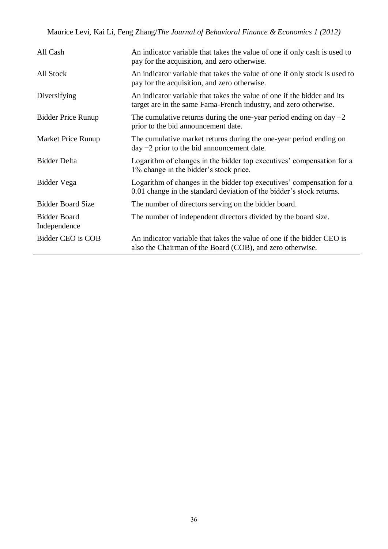# Maurice Levi, Kai Li, Feng Zhang/*The Journal of Behavioral Finance & Economics 1 (2012)*

| All Cash                            | An indicator variable that takes the value of one if only cash is used to<br>pay for the acquisition, and zero otherwise.                     |
|-------------------------------------|-----------------------------------------------------------------------------------------------------------------------------------------------|
| All Stock                           | An indicator variable that takes the value of one if only stock is used to<br>pay for the acquisition, and zero otherwise.                    |
| Diversifying                        | An indicator variable that takes the value of one if the bidder and its<br>target are in the same Fama-French industry, and zero otherwise.   |
| <b>Bidder Price Runup</b>           | The cumulative returns during the one-year period ending on day $-2$<br>prior to the bid announcement date.                                   |
| Market Price Runup                  | The cumulative market returns during the one-year period ending on<br>$day -2$ prior to the bid announcement date.                            |
| <b>Bidder Delta</b>                 | Logarithm of changes in the bidder top executives' compensation for a<br>1% change in the bidder's stock price.                               |
| Bidder Vega                         | Logarithm of changes in the bidder top executives' compensation for a<br>0.01 change in the standard deviation of the bidder's stock returns. |
| <b>Bidder Board Size</b>            | The number of directors serving on the bidder board.                                                                                          |
| <b>Bidder Board</b><br>Independence | The number of independent directors divided by the board size.                                                                                |
| Bidder CEO is COB                   | An indicator variable that takes the value of one if the bidder CEO is<br>also the Chairman of the Board (COB), and zero otherwise.           |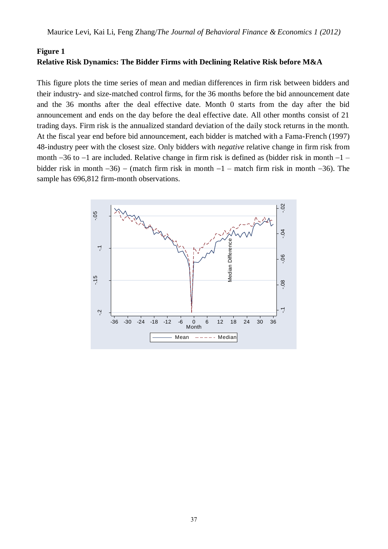### **Figure 1 Relative Risk Dynamics: The Bidder Firms with Declining Relative Risk before M&A**

This figure plots the time series of mean and median differences in firm risk between bidders and their industry- and size-matched control firms, for the 36 months before the bid announcement date and the 36 months after the deal effective date. Month 0 starts from the day after the bid announcement and ends on the day before the deal effective date. All other months consist of 21 trading days. Firm risk is the annualized standard deviation of the daily stock returns in the month. At the fiscal year end before bid announcement, each bidder is matched with a Fama-French (1997) 48-industry peer with the closest size. Only bidders with *negative* relative change in firm risk from month  $-36$  to  $-1$  are included. Relative change in firm risk is defined as (bidder risk in month  $-1$  – bidder risk in month  $-36$ ) – (match firm risk in month  $-1$  – match firm risk in month  $-36$ ). The sample has  $696,812$  firm-month observations.

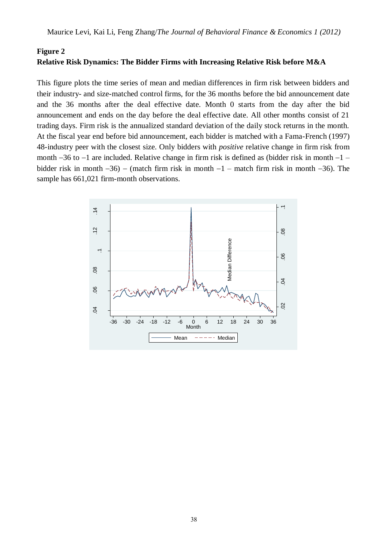### **Figure 2 Relative Risk Dynamics: The Bidder Firms with Increasing Relative Risk before M&A**

This figure plots the time series of mean and median differences in firm risk between bidders and their industry- and size-matched control firms, for the 36 months before the bid announcement date and the 36 months after the deal effective date. Month 0 starts from the day after the bid announcement and ends on the day before the deal effective date. All other months consist of 21 trading days. Firm risk is the annualized standard deviation of the daily stock returns in the month. At the fiscal year end before bid announcement, each bidder is matched with a Fama-French (1997) 48-industry peer with the closest size. Only bidders with *positive* relative change in firm risk from month  $-36$  to  $-1$  are included. Relative change in firm risk is defined as (bidder risk in month  $-1$  – bidder risk in month  $-36$ ) – (match firm risk in month  $-1$  – match firm risk in month  $-36$ ). The sample has  $661,021$  firm-month observations.

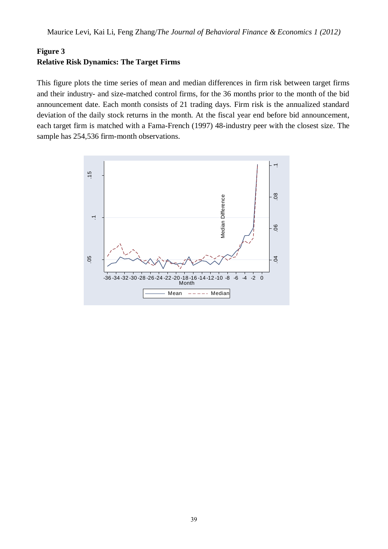# **Figure 3**

# **Relative Risk Dynamics: The Target Firms**

This figure plots the time series of mean and median differences in firm risk between target firms and their industry- and size-matched control firms, for the 36 months prior to the month of the bid announcement date. Each month consists of 21 trading days. Firm risk is the annualized standard deviation of the daily stock returns in the month. At the fiscal year end before bid announcement, each target firm is matched with a Fama-French (1997) 48-industry peer with the closest size. The sample has 254,536 firm-month observations.

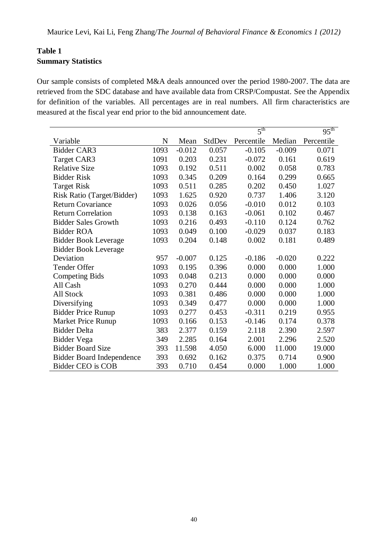## **Table 1 Summary Statistics**

Our sample consists of completed M&A deals announced over the period 1980-2007. The data are retrieved from the SDC database and have available data from CRSP/Compustat. See the Appendix for definition of the variables. All percentages are in real numbers. All firm characteristics are measured at the fiscal year end prior to the bid announcement date.

|                                  |      |          |        | $5^{\text{th}}$ |          | $95^{\text{th}}$ |
|----------------------------------|------|----------|--------|-----------------|----------|------------------|
| Variable                         | N    | Mean     | StdDev | Percentile      | Median   | Percentile       |
| <b>Bidder CAR3</b>               | 1093 | $-0.012$ | 0.057  | $-0.105$        | $-0.009$ | 0.071            |
| Target CAR3                      | 1091 | 0.203    | 0.231  | $-0.072$        | 0.161    | 0.619            |
| <b>Relative Size</b>             | 1093 | 0.192    | 0.511  | 0.002           | 0.058    | 0.783            |
| <b>Bidder Risk</b>               | 1093 | 0.345    | 0.209  | 0.164           | 0.299    | 0.665            |
| <b>Target Risk</b>               | 1093 | 0.511    | 0.285  | 0.202           | 0.450    | 1.027            |
| Risk Ratio (Target/Bidder)       | 1093 | 1.625    | 0.920  | 0.737           | 1.406    | 3.120            |
| <b>Return Covariance</b>         | 1093 | 0.026    | 0.056  | $-0.010$        | 0.012    | 0.103            |
| <b>Return Correlation</b>        | 1093 | 0.138    | 0.163  | $-0.061$        | 0.102    | 0.467            |
| <b>Bidder Sales Growth</b>       | 1093 | 0.216    | 0.493  | $-0.110$        | 0.124    | 0.762            |
| <b>Bidder ROA</b>                | 1093 | 0.049    | 0.100  | $-0.029$        | 0.037    | 0.183            |
| <b>Bidder Book Leverage</b>      | 1093 | 0.204    | 0.148  | 0.002           | 0.181    | 0.489            |
| <b>Bidder Book Leverage</b>      |      |          |        |                 |          |                  |
| Deviation                        | 957  | $-0.007$ | 0.125  | $-0.186$        | $-0.020$ | 0.222            |
| <b>Tender Offer</b>              | 1093 | 0.195    | 0.396  | 0.000           | 0.000    | 1.000            |
| <b>Competing Bids</b>            | 1093 | 0.048    | 0.213  | 0.000           | 0.000    | 0.000            |
| All Cash                         | 1093 | 0.270    | 0.444  | 0.000           | 0.000    | 1.000            |
| All Stock                        | 1093 | 0.381    | 0.486  | 0.000           | 0.000    | 1.000            |
| Diversifying                     | 1093 | 0.349    | 0.477  | 0.000           | 0.000    | 1.000            |
| <b>Bidder Price Runup</b>        | 1093 | 0.277    | 0.453  | $-0.311$        | 0.219    | 0.955            |
| <b>Market Price Runup</b>        | 1093 | 0.166    | 0.153  | $-0.146$        | 0.174    | 0.378            |
| <b>Bidder Delta</b>              | 383  | 2.377    | 0.159  | 2.118           | 2.390    | 2.597            |
| Bidder Vega                      | 349  | 2.285    | 0.164  | 2.001           | 2.296    | 2.520            |
| <b>Bidder Board Size</b>         | 393  | 11.598   | 4.050  | 6.000           | 11.000   | 19.000           |
| <b>Bidder Board Independence</b> | 393  | 0.692    | 0.162  | 0.375           | 0.714    | 0.900            |
| Bidder CEO is COB                | 393  | 0.710    | 0.454  | 0.000           | 1.000    | 1.000            |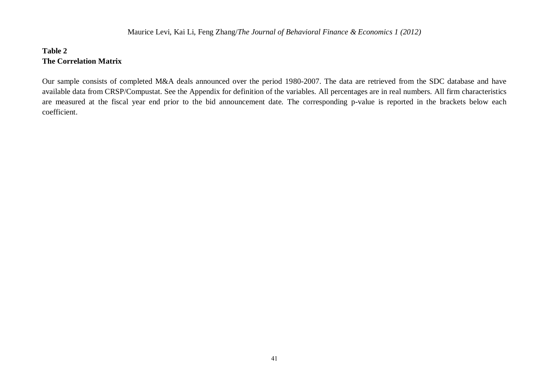## **Table 2 The Correlation Matrix**

Our sample consists of completed M&A deals announced over the period 1980-2007. The data are retrieved from the SDC database and have available data from CRSP/Compustat. See the Appendix for definition of the variables. All percentages are in real numbers. All firm characteristics are measured at the fiscal year end prior to the bid announcement date. The corresponding p-value is reported in the brackets below each coefficient.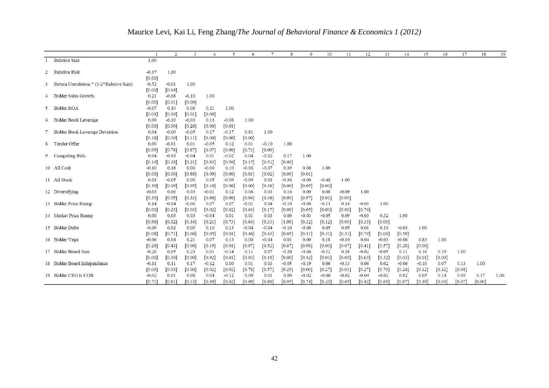| 2<br>3<br>5<br>7<br>8<br>9<br>10<br>6<br>11<br>12<br>13<br>14<br>15<br>$\overline{4}$                                                                                                                                                                                                               | 17<br>16         | 18<br>19     |
|-----------------------------------------------------------------------------------------------------------------------------------------------------------------------------------------------------------------------------------------------------------------------------------------------------|------------------|--------------|
| 1.00<br>1 Relative Size                                                                                                                                                                                                                                                                             |                  |              |
|                                                                                                                                                                                                                                                                                                     |                  |              |
| 2 Relative Risk<br>1.00<br>$-0.17$                                                                                                                                                                                                                                                                  |                  |              |
| $[0.00]$                                                                                                                                                                                                                                                                                            |                  |              |
| 1.00<br>3 Return Correlation * (1-2*Relative Size)<br>$-0.52$<br>$-0.01$                                                                                                                                                                                                                            |                  |              |
| $[0.64]$<br>[0.00]                                                                                                                                                                                                                                                                                  |                  |              |
| 4 Bidder Sales Growth<br>0.21<br>$-0.10$<br>1.00<br>$-0.08$                                                                                                                                                                                                                                         |                  |              |
| [0.00]<br>[0.01]<br>[0.00]                                                                                                                                                                                                                                                                          |                  |              |
| 5 Bidder ROA<br>1.00<br>$-0.07$<br>0.08<br>0.21<br>0.10                                                                                                                                                                                                                                             |                  |              |
| [0.03]<br>[0.00]<br>[0.01]<br>[0.00]                                                                                                                                                                                                                                                                |                  |              |
| Bidder Book Leverage<br>$-0.08$<br>1.00<br>0.09<br>$-0.10$<br>$-0.03$<br>0.13<br>6                                                                                                                                                                                                                  |                  |              |
| [0.01]<br>[0.00]<br>$[0.00]$<br>$[0.26]$<br>[0.00]                                                                                                                                                                                                                                                  |                  |              |
| 7 Bidder Book Leverage Deviation<br>0.04<br>$-0.09$<br>$-0.05$<br>0.17<br>$-0.17$<br>1.00<br>0.81                                                                                                                                                                                                   |                  |              |
| $[0.11]$<br>[0.00]<br>$[0.00]$<br>[0.00]<br>[0.18]<br>[0.00]                                                                                                                                                                                                                                        |                  |              |
| 8 Tender Offer<br>$-0.10$<br>1.00<br>0.00<br>$-0.01$<br>0.01<br>$-0.05$<br>0.12<br>0.01                                                                                                                                                                                                             |                  |              |
| [0.78]<br>[0.00]<br>[0.99]<br>$[0.87]$<br>[0.07]<br>[0.00]<br>[0.73]                                                                                                                                                                                                                                |                  |              |
| 1.00<br>9 Competing Bids<br>0.04<br>$-0.03$<br>$-0.04$<br>0.01<br>$-0.02$<br>$-0.02$<br>0.17<br>0.04                                                                                                                                                                                                |                  |              |
| $[0.28]$<br>$[0.21]$<br>$[0.83]$<br>$[0.52]$<br>$[0.00]$<br>$[0.19]$<br>$[0.50]$<br>$[0.15]$                                                                                                                                                                                                        |                  |              |
| 10 All Cash<br>1.00<br>$-0.10$<br>$-0.09$<br>0.39<br>0.18<br>0.00<br>0.10<br>-0.06<br>$-0.07$<br>0.08                                                                                                                                                                                               |                  |              |
| [0.00]<br>[0.00]<br>$[0.88]$<br>[0.00]<br>[0.00]<br>[0.03]<br>[0.02]<br>[0.00]<br>$[0.01]$                                                                                                                                                                                                          |                  |              |
| 11 All Stock<br>$-0.48$<br>1.00<br>0.03<br>$-0.05$<br>0.00<br>0.05<br>$-0.09$<br>$-0.09$<br>$-0.36$<br>$-0.06$<br>0.03                                                                                                                                                                              |                  |              |
| [0.10]<br>[0.00]<br>[0.39]<br>[0.09]<br>[0.95]<br>[0.00]<br>[0.00]<br>[0.38]<br>[0.00]<br>[0.05]                                                                                                                                                                                                    |                  |              |
| 1.00<br>12 Diversifying<br>$-0.03$<br>0.06<br>0.03<br>$-0.01$<br>0.12<br>0.16<br>0.08<br>$-0.09$<br>0.06<br>0.03<br>0.00                                                                                                                                                                            |                  |              |
| $[0.33]$<br>[0.86]<br>$[0.30]$<br>$[0.05]$<br>$[0.00]$<br>[0.04]<br>$[0.36]$<br>$[0.00]$<br>$[0.97]$<br>[0.01]<br>$[0.00]$<br>13 Bidder Price Runup<br>$-0.01$<br>1.00                                                                                                                              |                  |              |
| 0.14<br>$-0.04$<br>$-0.06$<br>0.07<br>0.07<br>0.04<br>$-0.10$<br>$-0.06$<br>$-0.11$<br>0.14<br>-0.01                                                                                                                                                                                                |                  |              |
| [0.76]<br>[0.00]<br>$[0.23]$<br>[0.03]<br>[0.02]<br>[0.02]<br>[0.64]<br>[0.17]<br>[0.00]<br>[0.05]<br>[0.00]<br>[0.00]<br>14 Market Price Runup<br>0.00<br>0.03<br>$-0.03$<br>0.32<br>1.00<br>0.03<br>$-0.04$<br>0.01<br>0.03<br>0.00<br>$-0.03$<br>$-0.05$<br>0.09                                 |                  |              |
| 0.01                                                                                                                                                                                                                                                                                                |                  |              |
| $[0.32]$<br>$[0.12]$<br>[0.00]<br>[0.96]<br>[0.34]<br>[0.21]<br>$[0.73]$<br>[0.64]<br>[0.33]<br>$[1.00]$<br>[0.32]<br>[0.33]<br>[0.00]<br>15 Bidder Delta<br>$-0.09$<br>$-0.10$<br>$-0.03$<br>1.00<br>0.02<br>0.09<br>0.10<br>0.13<br>$-0.04$<br>$-0.04$<br>$-0.08$<br>0.05<br>0.05<br>0.01<br>0.10 |                  |              |
| $[0.71]$<br>$[0.01]$<br>$[0.31]$<br>[0.31]<br>[0.79]<br>$[0.58]$<br>$[0.08]$<br>$[0.06]$<br>[0.05]<br>[0.46]<br>$[0.43]$<br>$[0.05]$<br>[0.11]<br>$[0.06]$                                                                                                                                          |                  |              |
| 16 Bidder Vega<br>0.21<br>$-0.04$<br>$-0.10$<br>0.04<br>$-0.03$<br>$-0.06$<br>0.83<br>$-0.06$<br>0.04<br>0.07<br>0.13<br>0.00<br>0.01<br>0.00<br>0.18                                                                                                                                               | 1.00             |              |
| [0.00]<br>$[0.52]$<br>[0.00]<br>[0.43]<br>[0.19]<br>[0.01]<br>[0.97]<br>[0.87]<br>[0.98]<br>[0.07]<br>[0.41]<br>[0.57]<br>[0.28]<br>[0.00]<br>[0.26]                                                                                                                                                |                  |              |
| 17 Bidder Board Size<br>0.23<br>0.07<br>$-0.20$<br>$-0.02$<br>$-0.26$<br>0.05<br>0.01<br>$-0.14$<br>0.11<br>$-0.04$<br>$-0.12$<br>0.18<br>$-0.05$<br>0.11<br>0.16                                                                                                                                   | 0.19<br>1.00     |              |
| [0.00]<br>[0.00]<br>[0.30]<br>[0.92]<br>[0.01]<br>[0.03]<br>[0.18]<br>[0.00]<br>[0.42]<br>[0.01]<br>[0.00]<br>[0.63]<br>[0.32]<br>[0.03]<br>[0.01]                                                                                                                                                  | [0.00]           |              |
| 18 Bidder Board Independence<br>0.17<br>$-0.12$<br>$-0.11$<br>0.11<br>0.00<br>0.01<br>0.03<br>$-0.05$<br>$-0.19$<br>0.06<br>$-0.13$<br>0.06<br>0.02<br>$-0.06$<br>$-0.10$                                                                                                                           | 0.13<br>0.07     | 1.00         |
| [0.00]<br>[0.02]<br>$[0.92]$<br>[0.78]<br>[0.57]<br>[0.29]<br>[0.27]<br>[0.01]<br>[0.27]<br>[0.70]<br>[0.03]<br>$[0.03]$<br>[0.00]<br>$[0.24]$<br>[0.12]                                                                                                                                            | [0.32]<br>[0.01] |              |
| 19 Bidder CEO is COB<br>$-0.02$<br>0.08<br>0.04<br>$-0.12$<br>$-0.02$<br>$-0.06$<br>$-0.02$<br>$-0.04$<br>$-0.02$<br>0.02<br>0.01<br>0.09<br>0.01<br>0.00<br>0.05                                                                                                                                   | 0.09<br>0.14     | 1.00<br>0.17 |
| [0.02]<br>[0.71]<br>[0.81]<br>[0.13]<br>[0.39]<br>[0.09]<br>[0.80]<br>[0.95]<br>[0.74]<br>[0.20]<br>[0.42]<br>[0.69]<br>[0.67]<br>[0.39]<br>[0.65]                                                                                                                                                  | [0.04]<br>[0.07] | [0.00]       |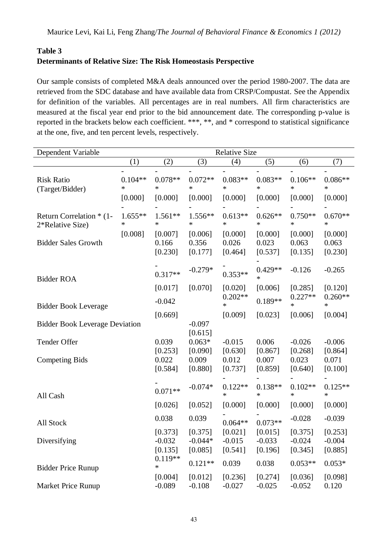## **Table 3 Determinants of Relative Size: The Risk Homeostasis Perspective**

Our sample consists of completed M&A deals announced over the period 1980-2007. The data are retrieved from the SDC database and have available data from CRSP/Compustat. See the Appendix for definition of the variables. All percentages are in real numbers. All firm characteristics are measured at the fiscal year end prior to the bid announcement date. The corresponding p-value is reported in the brackets below each coefficient. \*\*\*, \*\*, and \* correspond to statistical significance at the one, five, and ten percent levels, respectively.

| Dependent Variable                           | <b>Relative Size</b> |                             |                             |                             |                             |                             |                             |
|----------------------------------------------|----------------------|-----------------------------|-----------------------------|-----------------------------|-----------------------------|-----------------------------|-----------------------------|
|                                              | (1)                  | (2)                         | (3)                         | (4)                         | (5)                         | (6)                         | (7)                         |
| <b>Risk Ratio</b><br>(Target/Bidder)         | $0.104**$<br>*       | $0.078**$<br>$\ast$         | $0.072**$<br>$\ast$         | $0.083**$<br>*              | $0.083**$<br>$\ast$         | $0.106**$<br>$\ast$         | $0.086**$<br>$\ast$         |
|                                              | [0.000]              | [0.000]                     | [0.000]                     | [0.000]                     | [0.000]                     | [0.000]                     | [0.000]                     |
| Return Correlation * (1-<br>2*Relative Size) | $1.655**$<br>*       | $1.561**$<br>$\ast$         | $1.556**$<br>$\ast$         | $0.613**$<br>*              | $0.626**$<br>$\ast$         | $0.750**$<br>$\ast$         | $0.670**$<br>*              |
| <b>Bidder Sales Growth</b>                   | [0.008]              | [0.007]<br>0.166<br>[0.230] | [0.006]<br>0.356<br>[0.177] | [0.000]<br>0.026<br>[0.464] | [0.000]<br>0.023<br>[0.537] | [0.000]<br>0.063<br>[0.135] | [0.000]<br>0.063<br>[0.230] |
| <b>Bidder ROA</b>                            |                      | $0.317**$                   | $-0.279*$                   | $0.353**$                   | $0.429**$<br>$\ast$         | $-0.126$                    | $-0.265$                    |
|                                              |                      | [0.017]                     | [0.070]                     | [0.020]<br>$0.202**$        | [0.006]                     | [0.285]<br>$0.227**$        | [0.120]<br>$0.260**$        |
| <b>Bidder Book Leverage</b>                  |                      | $-0.042$<br>[0.669]         |                             | *<br>[0.009]                | $0.189**$<br>[0.023]        | $\ast$<br>[0.006]           | $\ast$<br>[0.004]           |
| <b>Bidder Book Leverage Deviation</b>        |                      |                             | $-0.097$<br>[0.615]         |                             |                             |                             |                             |
| Tender Offer                                 |                      | 0.039                       | $0.063*$                    | $-0.015$                    | 0.006                       | $-0.026$                    | $-0.006$                    |
| <b>Competing Bids</b>                        |                      | [0.253]<br>0.022<br>[0.584] | [0.090]<br>0.009<br>[0.880] | [0.630]<br>0.012<br>[0.737] | [0.867]<br>0.007<br>[0.859] | [0.268]<br>0.023<br>[0.640] | [0.864]<br>0.071<br>[0.100] |
| All Cash                                     |                      | $0.071**$                   | $-0.074*$                   | $0.122**$<br>*              | $0.138**$<br>∗              | $0.102**$<br>$\ast$         | $0.125**$<br>$\ast$         |
|                                              |                      | [0.026]                     | [0.052]<br>0.039            | [0.000]                     | [0.000]                     | [0.000]                     | [0.000]                     |
| All Stock                                    |                      | 0.038<br>[0.373]            | [0.375]                     | $0.064**$<br>[0.021]        | $0.073**$<br>[0.015]        | $-0.028$<br>[0.375]         | $-0.039$<br>[0.253]         |
| Diversifying                                 |                      | $-0.032$<br>[0.135]         | $-0.044*$<br>[0.085]        | $-0.015$<br>[0.541]         | $-0.033$<br>[0.196]         | $-0.024$<br>[0.345]         | $-0.004$<br>[0.885]         |
| <b>Bidder Price Runup</b>                    |                      | $0.119**$<br>$\ast$         | $0.121**$                   | 0.039                       | 0.038                       | $0.053**$                   | $0.053*$                    |
| Market Price Runup                           |                      | [0.004]<br>$-0.089$         | [0.012]<br>$-0.108$         | [0.236]<br>$-0.027$         | [0.274]<br>$-0.025$         | [0.036]<br>$-0.052$         | [0.098]<br>0.120            |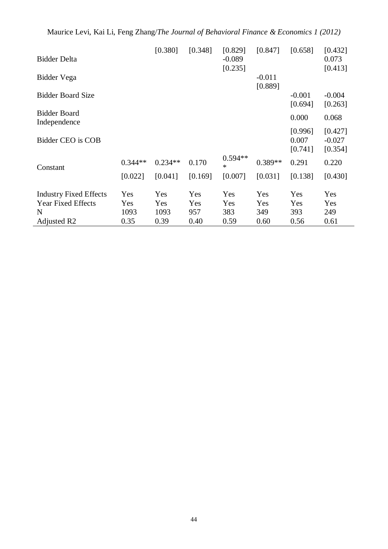| Maurice Levi, Kai Li, Feng Zhang/The Journal of Behavioral Finance & Economics 1 (2012) |  |  |  |  |  |  |  |  |  |
|-----------------------------------------------------------------------------------------|--|--|--|--|--|--|--|--|--|
|-----------------------------------------------------------------------------------------|--|--|--|--|--|--|--|--|--|

| <b>Bidder Delta</b>                 |           | [0.380]   | [0.348] | [0.829]<br>$-0.089$ | [0.847]             | [0.658]                     | [0.432]<br>0.073               |
|-------------------------------------|-----------|-----------|---------|---------------------|---------------------|-----------------------------|--------------------------------|
| Bidder Vega                         |           |           |         | [0.235]             | $-0.011$<br>[0.889] |                             | [0.413]                        |
| <b>Bidder Board Size</b>            |           |           |         |                     |                     | $-0.001$<br>[0.694]         | $-0.004$<br>[0.263]            |
| <b>Bidder Board</b><br>Independence |           |           |         |                     |                     | 0.000                       | 0.068                          |
| Bidder CEO is COB                   |           |           |         |                     |                     | [0.996]<br>0.007<br>[0.741] | [0.427]<br>$-0.027$<br>[0.354] |
| Constant                            | $0.344**$ | $0.234**$ | 0.170   | $0.594**$<br>$\ast$ | $0.389**$           | 0.291                       | 0.220                          |
|                                     | [0.022]   | [0.041]   | [0.169] | [0.007]             | [0.031]             | [0.138]                     | [0.430]                        |
| <b>Industry Fixed Effects</b>       | Yes       | Yes       | Yes     | Yes                 | Yes                 | Yes                         | Yes                            |
| <b>Year Fixed Effects</b>           | Yes       | Yes       | Yes     | Yes                 | Yes                 | Yes                         | Yes                            |
| N                                   | 1093      | 1093      | 957     | 383                 | 349                 | 393                         | 249                            |
| Adjusted R <sub>2</sub>             | 0.35      | 0.39      | 0.40    | 0.59                | 0.60                | 0.56                        | 0.61                           |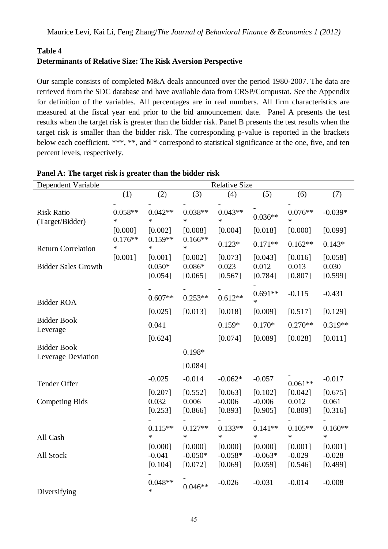## **Table 4 Determinants of Relative Size: The Risk Aversion Perspective**

Our sample consists of completed M&A deals announced over the period 1980-2007. The data are retrieved from the SDC database and have available data from CRSP/Compustat. See the Appendix for definition of the variables. All percentages are in real numbers. All firm characteristics are measured at the fiscal year end prior to the bid announcement date. Panel A presents the test results when the target risk is greater than the bidder risk. Panel B presents the test results when the target risk is smaller than the bidder risk. The corresponding p-value is reported in the brackets below each coefficient. \*\*\*, \*\*, and \* correspond to statistical significance at the one, five, and ten percent levels, respectively.

| Dependent Variable                       | <b>Relative Size</b> |                                |                                 |                                 |                                 |                                |                                |
|------------------------------------------|----------------------|--------------------------------|---------------------------------|---------------------------------|---------------------------------|--------------------------------|--------------------------------|
|                                          | (1)                  | (2)                            | (3)                             | (4)                             | (5)                             | (6)                            | (7)                            |
| <b>Risk Ratio</b><br>(Target/Bidder)     | $0.058**$<br>$\ast$  | $0.042**$<br>$\ast$            | $0.038**$<br>$\ast$             | $0.043**$<br>$\ast$             | $0.036**$                       | $0.076**$<br>$\ast$            | $-0.039*$                      |
|                                          | [0.000]              | [0.002]                        | [0.008]                         | [0.004]                         | [0.018]                         | [0.000]                        | [0.099]                        |
| <b>Return Correlation</b>                | $0.176**$<br>*       | $0.159**$<br>*                 | $0.166**$<br>$\ast$             | $0.123*$                        | $0.171**$                       | $0.162**$                      | $0.143*$                       |
| <b>Bidder Sales Growth</b>               | [0.001]              | [0.001]<br>$0.050*$<br>[0.054] | [0.002]<br>$0.086*$<br>[0.065]  | [0.073]<br>0.023<br>[0.567]     | [0.043]<br>0.012<br>[0.784]     | [0.016]<br>0.013<br>[0.807]    | [0.058]<br>0.030<br>[0.599]    |
| <b>Bidder ROA</b>                        |                      | $0.607**$                      | $0.253**$                       | $0.612**$                       | $0.691**$<br>$\ast$             | $-0.115$                       | $-0.431$                       |
|                                          |                      | [0.025]                        | [0.013]                         | [0.018]                         | [0.009]                         | [0.517]                        | [0.129]                        |
| <b>Bidder Book</b><br>Leverage           |                      | 0.041                          |                                 | $0.159*$                        | $0.170*$                        | $0.270**$                      | $0.319**$                      |
|                                          |                      | [0.624]                        |                                 | [0.074]                         | [0.089]                         | [0.028]                        | [0.011]                        |
| <b>Bidder Book</b><br>Leverage Deviation |                      |                                | 0.198*                          |                                 |                                 |                                |                                |
|                                          |                      |                                | [0.084]                         |                                 |                                 |                                |                                |
| Tender Offer                             |                      | $-0.025$                       | $-0.014$                        | $-0.062*$                       | $-0.057$                        | $0.061**$                      | $-0.017$                       |
| <b>Competing Bids</b>                    |                      | [0.207]<br>0.032<br>[0.253]    | [0.552]<br>0.006<br>[0.866]     | [0.063]<br>$-0.006$<br>[0.893]  | [0.102]<br>$-0.006$<br>[0.905]  | [0.042]<br>0.012<br>[0.809]    | [0.675]<br>0.061<br>[0.316]    |
| All Cash                                 |                      | $0.115**$<br>$\ast$            | $0.127**$<br>$\ast$             | $0.133**$<br>$\ast$             | $0.141**$<br>$\ast$             | $0.105**$<br>$\ast$            | $0.160**$<br>$\ast$            |
| All Stock                                |                      | [0.000]<br>$-0.041$<br>[0.104] | [0.000]<br>$-0.050*$<br>[0.072] | [0.000]<br>$-0.058*$<br>[0.069] | [0.000]<br>$-0.063*$<br>[0.059] | [0.001]<br>$-0.029$<br>[0.546] | [0.001]<br>$-0.028$<br>[0.499] |
| Diversifying                             |                      | $0.048**$<br>$\ast$            | $0.046**$                       | $-0.026$                        | $-0.031$                        | $-0.014$                       | $-0.008$                       |

**Panel A: The target risk is greater than the bidder risk**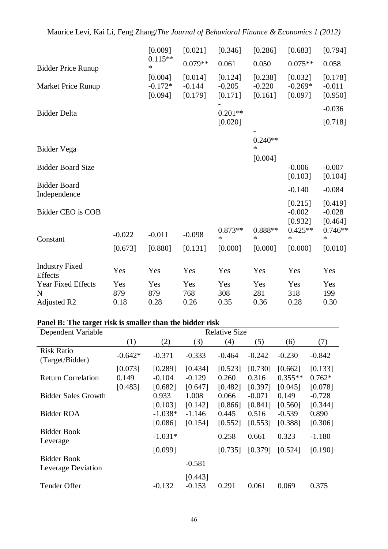|                                         |          | [0.009]                         | [0.021]                        | [0.346]                        | [0.286]                        | [0.683]                                               | [0.794]                                               |
|-----------------------------------------|----------|---------------------------------|--------------------------------|--------------------------------|--------------------------------|-------------------------------------------------------|-------------------------------------------------------|
| <b>Bidder Price Runup</b>               |          | $0.115**$<br>*                  | $0.079**$                      | 0.061                          | 0.050                          | $0.075**$                                             | 0.058                                                 |
| <b>Market Price Runup</b>               |          | [0.004]<br>$-0.172*$<br>[0.094] | [0.014]<br>$-0.144$<br>[0.179] | [0.124]<br>$-0.205$<br>[0.171] | [0.238]<br>$-0.220$<br>[0.161] | [0.032]<br>$-0.269*$<br>[0.097]                       | [0.178]<br>$-0.011$<br>[0.950]                        |
| <b>Bidder Delta</b>                     |          |                                 |                                | $0.201**$                      |                                |                                                       | $-0.036$                                              |
|                                         |          |                                 |                                | [0.020]                        |                                |                                                       | [0.718]                                               |
| Bidder Vega<br><b>Bidder Board Size</b> |          |                                 |                                |                                | $0.240**$<br>$\ast$<br>[0.004] | $-0.006$<br>[0.103]                                   | $-0.007$<br>[0.104]                                   |
| <b>Bidder Board</b><br>Independence     |          |                                 |                                |                                |                                | $-0.140$                                              | $-0.084$                                              |
| <b>Bidder CEO</b> is COB                | $-0.022$ | $-0.011$                        | $-0.098$                       | $0.873**$<br>$\ast$            | $0.888**$<br>$\ast$            | [0.215]<br>$-0.002$<br>[0.932]<br>$0.425**$<br>$\ast$ | [0.419]<br>$-0.028$<br>[0.464]<br>$0.746**$<br>$\ast$ |
| Constant                                | [0.673]  | [0.880]                         | [0.131]                        | [0.000]                        | [0.000]                        | [0.000]                                               | [0.010]                                               |
| <b>Industry Fixed</b><br>Effects        | Yes      | Yes                             | Yes                            | Yes                            | Yes                            | Yes                                                   | Yes                                                   |
| <b>Year Fixed Effects</b>               | Yes      | Yes                             | Yes                            | Yes                            | Yes                            | Yes                                                   | Yes                                                   |
| N                                       | 879      | 879                             | 768                            | 308                            | 281                            | 318                                                   | 199                                                   |
| Adjusted R2                             | 0.18     | 0.28                            | 0.26                           | 0.35                           | 0.36                           | 0.28                                                  | 0.30                                                  |

# **Panel B: The target risk is smaller than the bidder risk**

| Dependent Variable                       |                             |                                |                                | <b>Relative Size</b>        |                             |                                 |                                |
|------------------------------------------|-----------------------------|--------------------------------|--------------------------------|-----------------------------|-----------------------------|---------------------------------|--------------------------------|
|                                          | (1)                         | (2)                            | (3)                            | (4)                         | (5)                         | (6)                             | (7)                            |
| <b>Risk Ratio</b><br>(Target/Bidder)     | $-0.642*$                   | $-0.371$                       | $-0.333$                       | $-0.464$                    | $-0.242$                    | $-0.230$                        | $-0.842$                       |
| <b>Return Correlation</b>                | [0.073]<br>0.149<br>[0.483] | [0.289]<br>$-0.104$<br>[0.682] | [0.434]<br>$-0.129$<br>[0.647] | [0.523]<br>0.260<br>[0.482] | [0.730]<br>0.316<br>[0.397] | [0.662]<br>$0.355**$<br>[0.045] | [0.133]<br>$0.762*$<br>[0.078] |
| <b>Bidder Sales Growth</b>               |                             | 0.933<br>[0.103]               | 1.008<br>[0.142]               | 0.066<br>[0.866]            | $-0.071$<br>[0.841]         | 0.149<br>[0.560]                | $-0.728$<br>[0.344]            |
| <b>Bidder ROA</b>                        |                             | $-1.038*$<br>[0.086]           | $-1.146$<br>[0.154]            | 0.445<br>[0.552]            | 0.516<br>[0.553]            | $-0.539$<br>[0.388]             | 0.890<br>[0.306]               |
| <b>Bidder Book</b><br>Leverage           |                             | $-1.031*$                      |                                | 0.258                       | 0.661                       | 0.323                           | $-1.180$                       |
|                                          |                             | [0.099]                        |                                | [0.735]                     | [0.379]                     | [0.524]                         | [0.190]                        |
| <b>Bidder Book</b><br>Leverage Deviation |                             |                                | $-0.581$                       |                             |                             |                                 |                                |
| Tender Offer                             |                             | $-0.132$                       | [0.443]<br>$-0.153$            | 0.291                       | 0.061                       | 0.069                           | 0.375                          |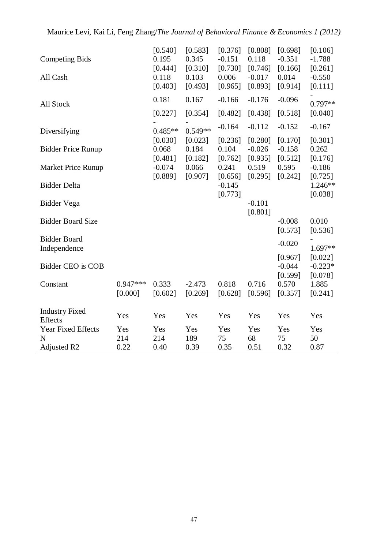| [0.540]<br>[0.583]<br>[0.376]<br>[0.808]<br>0.195<br>0.345<br>$-0.151$<br>0.118<br><b>Competing Bids</b><br>[0.444]<br>[0.310]<br>[0.730]<br>[0.746]<br>0.118<br>0.103<br>0.006<br>$-0.017$<br>All Cash<br>[0.403]<br>[0.493]<br>[0.965]<br>[0.893] | [0.698]<br>$-0.351$<br>[0.166]<br>0.014<br>[0.914] | [0.106]<br>$-1.788$<br>[0.261]<br>$-0.550$<br>[0.111] |
|-----------------------------------------------------------------------------------------------------------------------------------------------------------------------------------------------------------------------------------------------------|----------------------------------------------------|-------------------------------------------------------|
| 0.181<br>0.167<br>$-0.166$<br>$-0.176$<br>All Stock<br>[0.354]<br>[0.482]<br>[0.438]<br>[0.227]                                                                                                                                                     | $-0.096$<br>[0.518]                                | $0.797**$<br>[0.040]                                  |
| $-0.164$<br>$-0.112$<br>$0.549**$<br>$0.485**$<br>Diversifying<br>[0.023]<br>[0.280]<br>[0.030]<br>[0.236]                                                                                                                                          | $-0.152$<br>[0.170]                                | $-0.167$<br>[0.301]                                   |
| 0.184<br>0.104<br>$-0.026$<br><b>Bidder Price Runup</b><br>0.068<br>[0.481]<br>[0.182]<br>[0.762]<br>[0.935]                                                                                                                                        | $-0.158$<br>[0.512]                                | 0.262<br>[0.176]                                      |
| <b>Market Price Runup</b><br>$-0.074$<br>0.066<br>0.241<br>0.519<br>[0.889]<br>[0.907]<br>[0.656]<br>[0.295]                                                                                                                                        | 0.595<br>[0.242]                                   | $-0.186$<br>[0.725]                                   |
| <b>Bidder Delta</b><br>$-0.145$<br>[0.773]                                                                                                                                                                                                          |                                                    | $1.246**$<br>[0.038]                                  |
| $-0.101$<br>Bidder Vega<br>[0.801]                                                                                                                                                                                                                  |                                                    |                                                       |
| <b>Bidder Board Size</b>                                                                                                                                                                                                                            | $-0.008$<br>[0.573]                                | 0.010<br>[0.536]                                      |
| <b>Bidder Board</b><br>Independence                                                                                                                                                                                                                 | $-0.020$                                           | $1.697**$                                             |
| Bidder CEO is COB                                                                                                                                                                                                                                   | [0.967]<br>$-0.044$<br>[0.599]                     | [0.022]<br>$-0.223*$<br>[0.078]                       |
| $0.947***$<br>0.333<br>0.818<br>0.716<br>Constant<br>$-2.473$<br>[0.000]<br>[0.602]<br>[0.269]<br>[0.628]<br>[0.596]                                                                                                                                | 0.570<br>[0.357]                                   | 1.885<br>[0.241]                                      |
| <b>Industry Fixed</b><br>Yes<br>Yes<br>Yes<br>Yes<br>Yes<br><b>Effects</b>                                                                                                                                                                          | Yes                                                | Yes                                                   |
| Year Fixed Effects<br>Yes<br>Yes<br>Yes<br>Yes<br>Yes<br>68<br>214<br>214<br>189<br>75<br>N<br>0.35<br>0.51<br><b>Adjusted R2</b><br>0.22<br>0.40<br>0.39                                                                                           | Yes<br>75<br>0.32                                  | Yes<br>50<br>0.87                                     |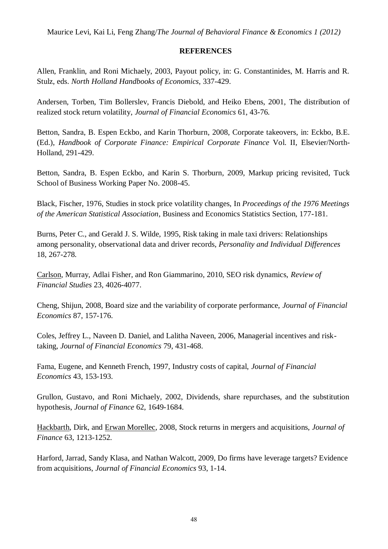Maurice Levi, Kai Li, Feng Zhang/*The Journal of Behavioral Finance & Economics 1 (2012)*

### **REFERENCES**

Allen, Franklin, and Roni Michaely, 2003, Payout policy, in: G. Constantinides, M. Harris and R. Stulz, eds. *North Holland Handbooks of Economics*, 337-429.

Andersen, Torben, Tim Bollerslev, Francis Diebold, and Heiko Ebens, 2001, The distribution of realized stock return volatility, *Journal of Financial Economics* 61, 43-76.

Betton, Sandra, B. Espen Eckbo, and Karin Thorburn, 2008, Corporate takeovers, in: Eckbo, B.E. (Ed.), *Handbook of Corporate Finance: Empirical Corporate Finance* Vol. II, Elsevier/North-Holland, 291-429.

Betton, Sandra, B. Espen Eckbo, and Karin S. Thorburn, 2009, Markup pricing revisited, Tuck School of Business Working Paper No. 2008-45.

Black, Fischer, 1976, Studies in stock price volatility changes, In *Proceedings of the 1976 Meetings of the American Statistical Association*, Business and Economics Statistics Section, 177-181.

Burns, Peter C., and Gerald J. S. Wilde, 1995, Risk taking in male taxi drivers: Relationships among personality, observational data and driver records, *[Personality and Individual Differences](http://www.sciencedirect.com/science/journal/01918869)* 18, 267-278.

Carlson, Murray, Adlai Fisher, and Ron Giammarino, 2010, SEO risk dynamics, *Review of Financial Studies* 23, 4026-4077.

Cheng, Shijun, 2008, Board size and the variability of corporate performance, *Journal of Financial Economics* 87, 157-176.

Coles, Jeffrey L., Naveen D. Daniel, and Lalitha Naveen, 2006, Managerial incentives and risktaking, *Journal of Financial Economics* 79, 431-468.

Fama, Eugene, and Kenneth French, 1997, Industry costs of capital, *Journal of Financial Economics* 43, 153-193.

Grullon, Gustavo, and Roni Michaely, 2002, Dividends, share repurchases, and the substitution hypothesis, *Journal of Finance* 62, 1649-1684.

[Hackbarth,](http://www.business.illinois.edu/Finance/profile.aspx?id=11908) Dirk, and [Erwan Morellec,](http://www.business.illinois.edu/Finance/profile.aspx?id=12064) 2008, Stock returns in mergers and acquisitions, *Journal of Finance* 63, 1213-1252.

Harford, Jarrad, Sandy Klasa, and Nathan Walcott, 2009, Do firms have leverage targets? Evidence from acquisitions, *Journal of Financial Economics* 93, 1-14.